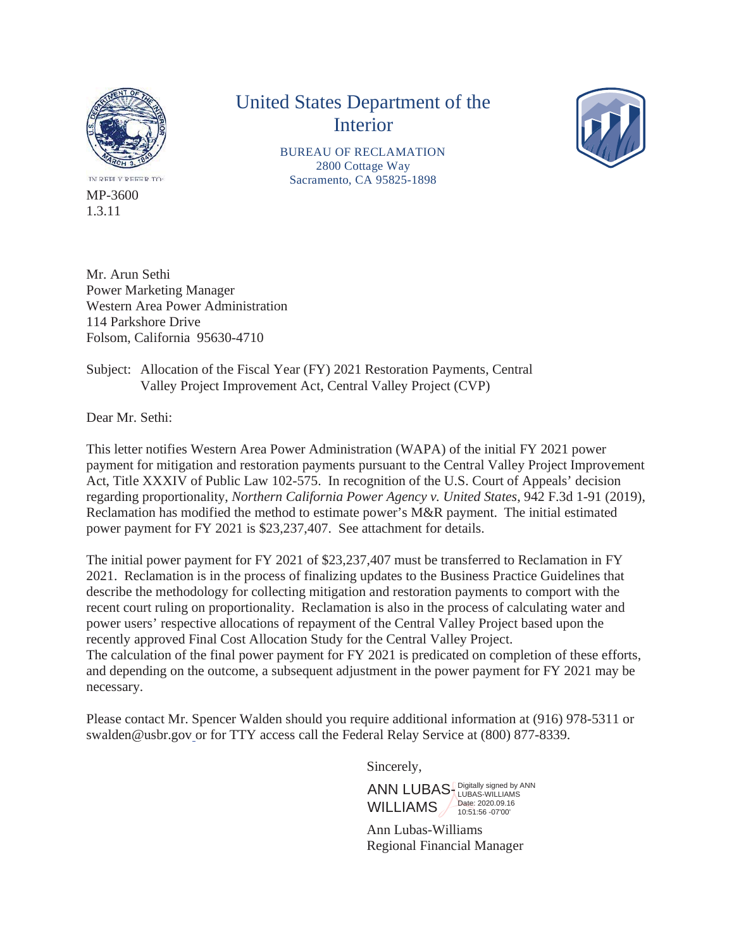

IN REPLY REEER TO MP-3600 1.3.11

## United States Department of the Interior

BUREAU OF RECLAMATION 2800 Cottage Way Sacramento, CA 95825-1898



Mr. Arun Sethi Power Marketing Manager Western Area Power Administration 114 Parkshore Drive Folsom, California 95630-4710

## Subject: Allocation of the Fiscal Year (FY) 2021 Restoration Payments, Central Valley Project Improvement Act, Central Valley Project (CVP)

Dear Mr. Sethi:

This letter notifies Western Area Power Administration (WAPA) of the initial FY 2021 power payment for mitigation and restoration payments pursuant to the Central Valley Project Improvement Act, Title XXXIV of Public Law 102-575. In recognition of the U.S. Court of Appeals' decision regarding proportionality, *Northern California Power Agency v. United States*, 942 F.3d 1-91 (2019), Reclamation has modified the method to estimate power's M&R payment. The initial estimated power payment for FY 2021 is \$23,237,407. See attachment for details.

The initial power payment for FY 2021 of \$23,237,407 must be transferred to Reclamation in FY 2021. Reclamation is in the process of finalizing updates to the Business Practice Guidelines that describe the methodology for collecting mitigation and restoration payments to comport with the recent court ruling on proportionality. Reclamation is also in the process of calculating water and power users' respective allocations of repayment of the Central Valley Project based upon the recently approved Final Cost Allocation Study for the Central Valley Project. The calculation of the final power payment for FY 2021 is predicated on completion of these efforts, and depending on the outcome, a subsequent adjustment in the power payment for FY 2021 may be necessary.

Please contact Mr. Spencer Walden should you require additional information at (916) 978-5311 or swalden@usbr.gov or for TTY access call the Federal Relay Service at (800) 877-8339.

Sincerely,

ANN LUBAS **Digitally signed by ANN** WILLIAMS / Date: 2020.09.16 10:51:56 -07'00'

Ann Lubas-Williams Regional Financial Manager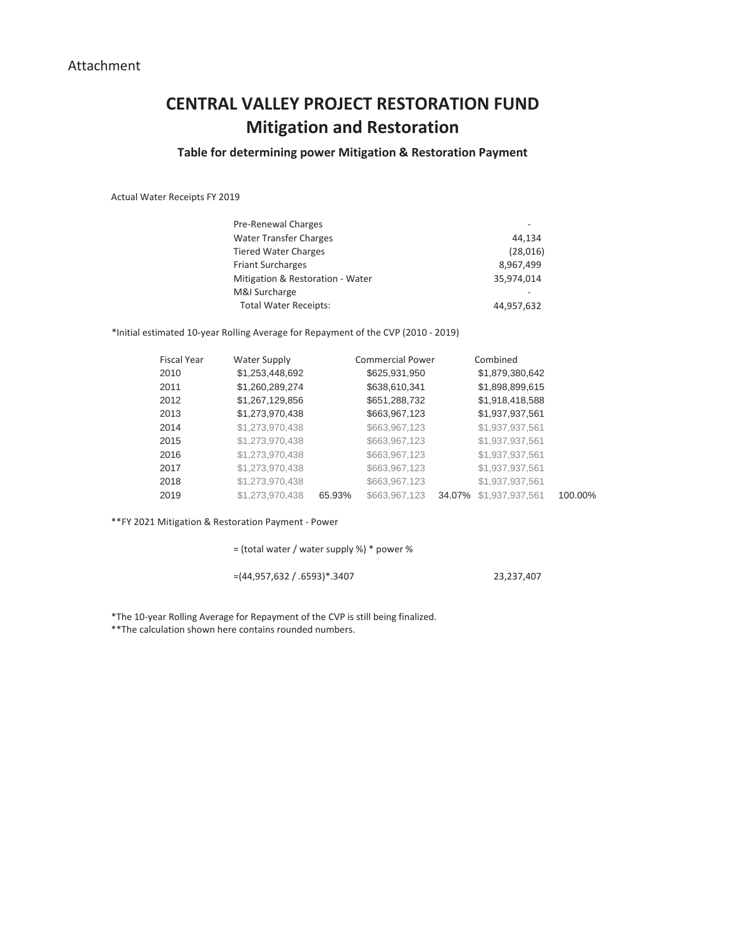## **CENTRAL VALLEY PROJECT RESTORATION FUND Mitigation and Restoration**

## **Table for determining power Mitigation & Restoration Payment**

Actual Water Receipts FY 2019

| Pre-Renewal Charges              |            |
|----------------------------------|------------|
| <b>Water Transfer Charges</b>    | 44.134     |
| <b>Tiered Water Charges</b>      | (28,016)   |
| <b>Friant Surcharges</b>         | 8,967,499  |
| Mitigation & Restoration - Water | 35,974,014 |
| M&I Surcharge                    |            |
| <b>Total Water Receipts:</b>     | 44,957,632 |

\*Initial estimated 10-year Rolling Average for Repayment of the CVP (2010 - 2019)

| <b>Fiscal Year</b> | Water Supply    |        | <b>Commercial Power</b> |        | Combined        |         |
|--------------------|-----------------|--------|-------------------------|--------|-----------------|---------|
| 2010               | \$1,253,448,692 |        | \$625,931,950           |        | \$1,879,380,642 |         |
| 2011               | \$1,260,289,274 |        | \$638,610,341           |        | \$1,898,899,615 |         |
| 2012               | \$1,267,129,856 |        | \$651,288,732           |        | \$1,918,418,588 |         |
| 2013               | \$1,273,970,438 |        | \$663,967,123           |        | \$1,937,937,561 |         |
| 2014               | \$1,273,970,438 |        | \$663,967,123           |        | \$1,937,937,561 |         |
| 2015               | \$1,273,970,438 |        | \$663,967,123           |        | \$1,937,937,561 |         |
| 2016               | \$1,273,970,438 |        | \$663,967,123           |        | \$1,937,937,561 |         |
| 2017               | \$1,273,970,438 |        | \$663,967,123           |        | \$1,937,937,561 |         |
| 2018               | \$1,273,970,438 |        | \$663,967,123           |        | \$1,937,937,561 |         |
| 2019               | \$1,273,970,438 | 65.93% | \$663,967,123           | 34.07% | \$1,937,937,561 | 100.00% |

\*\*FY 2021 Mitigation & Restoration Payment - Power

= (total water / water supply %) \* power %

=(44,957,632 / .6593)\*.3407 23,237,407

\*The 10-year Rolling Average for Repayment of the CVP is still being finalized. \*\*The calculation shown here contains rounded numbers.